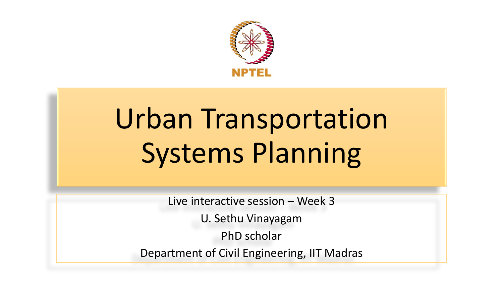

# Urban Transportation Systems Planning

Live interactive session – Week 3

U. Sethu Vinayagam

PhD scholar

Department of Civil Engineering, IIT Madras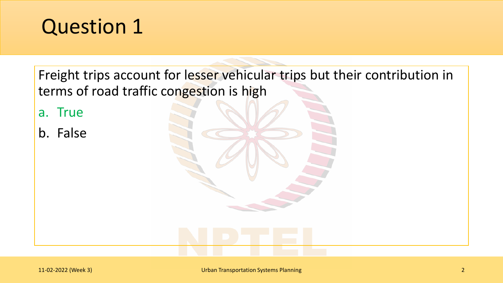Freight trips account for lesser vehicular trips but their contribution in terms of road traffic congestion is high

a. True

b. False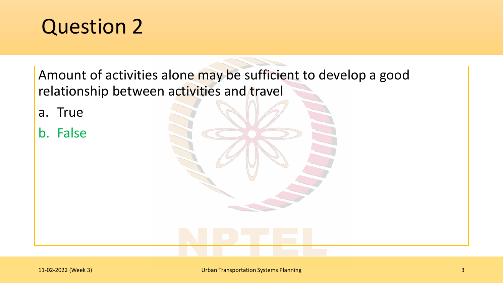Amount of activities alone may be sufficient to develop a good relationship between activities and travel

a. True

b. False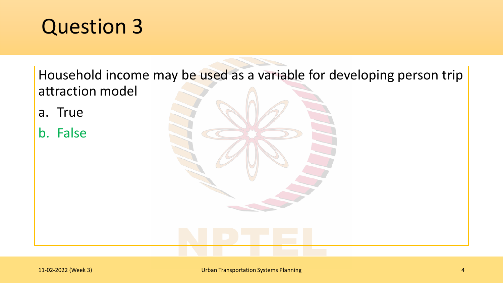Household income may be used as a variable for developing person trip attraction model

- a. True
- b. False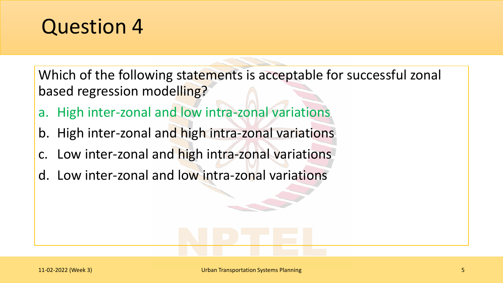Which of the following statements is acceptable for successful zonal based regression modelling?

- a. High inter-zonal and low intra-zonal variations
- b. High inter-zonal and high intra-zonal variations
- c. Low inter-zonal and high intra-zonal variations
- d. Low inter-zonal and low intra-zonal variations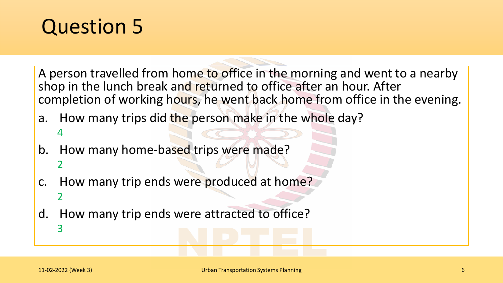A person travelled from home to office in the morning and went to a nearby shop in the lunch break and returned to office after an hour. After completion of working hours, he went back home from office in the evening.

- a. How many trips did the person make in the whole day? 4
- b. How many home-based trips were made? 2
- c. How many trip ends were produced at home? 2
- d. How many trip ends were attracted to office? 3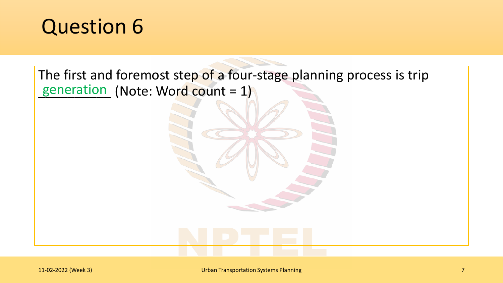

The first and foremost step of a four-stage planning process is trip generation (Note: Word count = 1)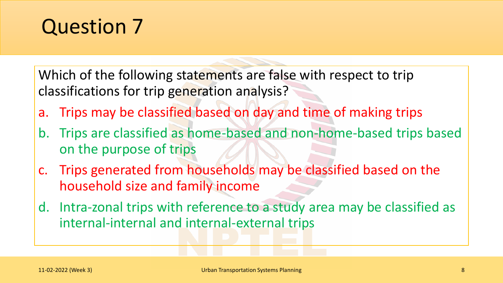Which of the following statements are false with respect to trip classifications for trip generation analysis?

- a. Trips may be classified based on day and time of making trips
- b. Trips are classified as home-based and non-home-based trips based on the purpose of trips
- c. Trips generated from households may be classified based on the household size and family income
- d. Intra-zonal trips with reference to a study area may be classified as internal-internal and internal-external trips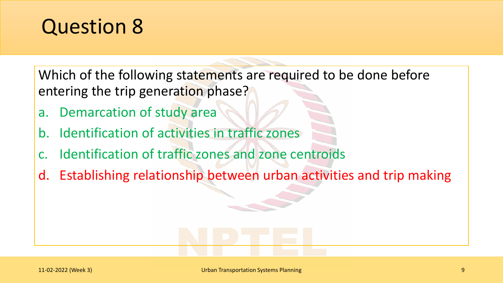Which of the following statements are required to be done before entering the trip generation phase?

- a. Demarcation of study area
- b. Identification of activities in traffic zones
- c. Identification of traffic zones and zone centroids
- d. Establishing relationship between urban activities and trip making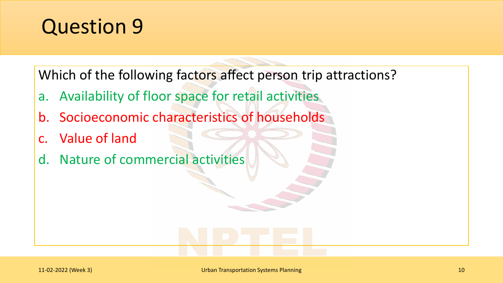Which of the following factors affect person trip attractions?

- a. Availability of floor space for retail activities
- b. Socioeconomic characteristics of households
- c. Value of land
- d. Nature of commercial activities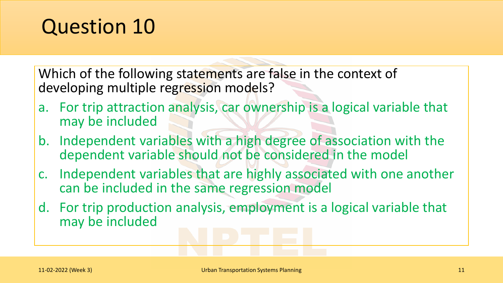Which of the following statements are false in the context of developing multiple regression models?

- a. For trip attraction analysis, car ownership is a logical variable that may be included
- b. Independent variables with a high degree of association with the dependent variable should not be considered in the model
- c. Independent variables that are highly associated with one another can be included in the same regression model
- d. For trip production analysis, employment is a logical variable that may be included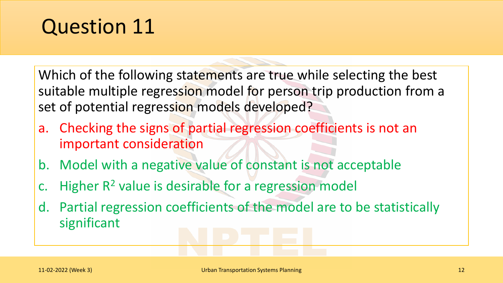Which of the following statements are true while selecting the best suitable multiple regression model for person trip production from a set of potential regression models developed?

- a. Checking the signs of partial regression coefficients is not an important consideration
- b. Model with a negative value of constant is not acceptable
- c. Higher  $R^2$  value is desirable for a regression model
- d. Partial regression coefficients of the model are to be statistically significant